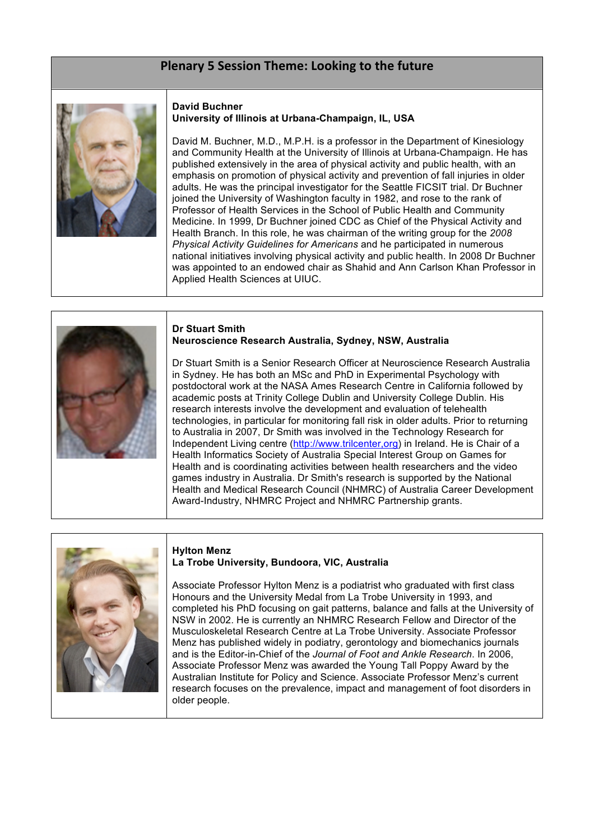# Plenary 5 Session Theme: Looking to the future



### **David Buchner University of Illinois at Urbana-Champaign, IL, USA**

David M. Buchner, M.D., M.P.H. is a professor in the Department of Kinesiology and Community Health at the University of Illinois at Urbana-Champaign. He has published extensively in the area of physical activity and public health, with an emphasis on promotion of physical activity and prevention of fall injuries in older adults. He was the principal investigator for the Seattle FICSIT trial. Dr Buchner joined the University of Washington faculty in 1982, and rose to the rank of Professor of Health Services in the School of Public Health and Community Medicine. In 1999, Dr Buchner joined CDC as Chief of the Physical Activity and Health Branch. In this role, he was chairman of the writing group for the *2008 Physical Activity Guidelines for Americans* and he participated in numerous national initiatives involving physical activity and public health. In 2008 Dr Buchner was appointed to an endowed chair as Shahid and Ann Carlson Khan Professor in Applied Health Sciences at UIUC.



### **Dr Stuart Smith Neuroscience Research Australia, Sydney, NSW, Australia**

Dr Stuart Smith is a Senior Research Officer at Neuroscience Research Australia in Sydney. He has both an MSc and PhD in Experimental Psychology with postdoctoral work at the NASA Ames Research Centre in California followed by academic posts at Trinity College Dublin and University College Dublin. His research interests involve the development and evaluation of telehealth technologies, in particular for monitoring fall risk in older adults. Prior to returning to Australia in 2007, Dr Smith was involved in the Technology Research for Independent Living centre (http://www.trilcenter,org) in Ireland. He is Chair of a Health Informatics Society of Australia Special Interest Group on Games for Health and is coordinating activities between health researchers and the video games industry in Australia. Dr Smith's research is supported by the National Health and Medical Research Council (NHMRC) of Australia Career Development Award-Industry, NHMRC Project and NHMRC Partnership grants.



# **Hylton Menz La Trobe University, Bundoora, VIC, Australia**

Associate Professor Hylton Menz is a podiatrist who graduated with first class Honours and the University Medal from La Trobe University in 1993, and completed his PhD focusing on gait patterns, balance and falls at the University of NSW in 2002. He is currently an NHMRC Research Fellow and Director of the Musculoskeletal Research Centre at La Trobe University. Associate Professor Menz has published widely in podiatry, gerontology and biomechanics journals and is the Editor-in-Chief of the *Journal of Foot and Ankle Research*. In 2006, Associate Professor Menz was awarded the Young Tall Poppy Award by the Australian Institute for Policy and Science. Associate Professor Menz's current research focuses on the prevalence, impact and management of foot disorders in older people.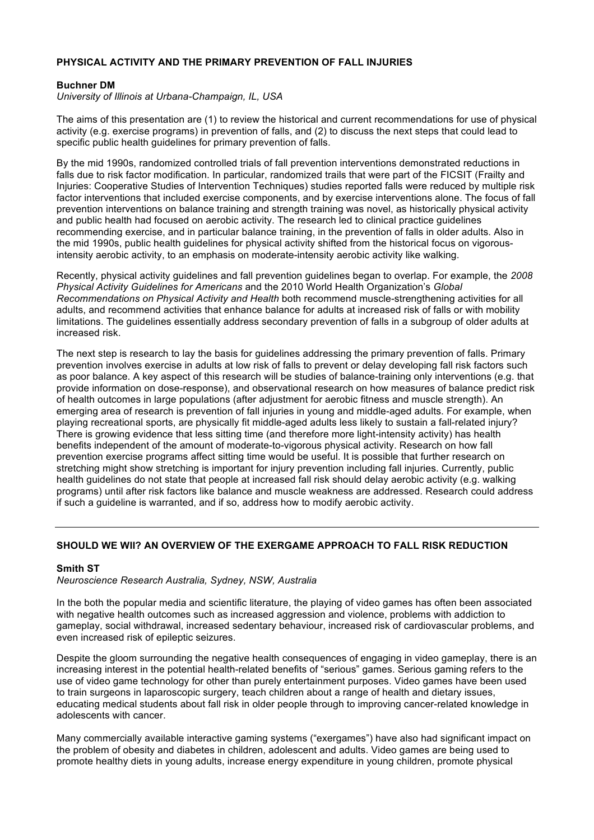# **PHYSICAL ACTIVITY AND THE PRIMARY PREVENTION OF FALL INJURIES**

# **Buchner DM**

*University of Illinois at Urbana-Champaign, IL, USA*

The aims of this presentation are (1) to review the historical and current recommendations for use of physical activity (e.g. exercise programs) in prevention of falls, and (2) to discuss the next steps that could lead to specific public health guidelines for primary prevention of falls.

By the mid 1990s, randomized controlled trials of fall prevention interventions demonstrated reductions in falls due to risk factor modification. In particular, randomized trails that were part of the FICSIT (Frailty and Injuries: Cooperative Studies of Intervention Techniques) studies reported falls were reduced by multiple risk factor interventions that included exercise components, and by exercise interventions alone. The focus of fall prevention interventions on balance training and strength training was novel, as historically physical activity and public health had focused on aerobic activity. The research led to clinical practice guidelines recommending exercise, and in particular balance training, in the prevention of falls in older adults. Also in the mid 1990s, public health guidelines for physical activity shifted from the historical focus on vigorousintensity aerobic activity, to an emphasis on moderate-intensity aerobic activity like walking.

Recently, physical activity guidelines and fall prevention guidelines began to overlap. For example, the *2008 Physical Activity Guidelines for Americans* and the 2010 World Health Organization's *Global Recommendations on Physical Activity and Health* both recommend muscle-strengthening activities for all adults, and recommend activities that enhance balance for adults at increased risk of falls or with mobility limitations. The guidelines essentially address secondary prevention of falls in a subgroup of older adults at increased risk.

The next step is research to lay the basis for guidelines addressing the primary prevention of falls. Primary prevention involves exercise in adults at low risk of falls to prevent or delay developing fall risk factors such as poor balance. A key aspect of this research will be studies of balance-training only interventions (e.g. that provide information on dose-response), and observational research on how measures of balance predict risk of health outcomes in large populations (after adjustment for aerobic fitness and muscle strength). An emerging area of research is prevention of fall injuries in young and middle-aged adults. For example, when playing recreational sports, are physically fit middle-aged adults less likely to sustain a fall-related injury? There is growing evidence that less sitting time (and therefore more light-intensity activity) has health benefits independent of the amount of moderate-to-vigorous physical activity. Research on how fall prevention exercise programs affect sitting time would be useful. It is possible that further research on stretching might show stretching is important for injury prevention including fall injuries. Currently, public health guidelines do not state that people at increased fall risk should delay aerobic activity (e.g. walking programs) until after risk factors like balance and muscle weakness are addressed. Research could address if such a guideline is warranted, and if so, address how to modify aerobic activity.

# **SHOULD WE WII? AN OVERVIEW OF THE EXERGAME APPROACH TO FALL RISK REDUCTION**

# **Smith ST**

*Neuroscience Research Australia, Sydney, NSW, Australia*

In the both the popular media and scientific literature, the playing of video games has often been associated with negative health outcomes such as increased aggression and violence, problems with addiction to gameplay, social withdrawal, increased sedentary behaviour, increased risk of cardiovascular problems, and even increased risk of epileptic seizures.

Despite the gloom surrounding the negative health consequences of engaging in video gameplay, there is an increasing interest in the potential health-related benefits of "serious" games. Serious gaming refers to the use of video game technology for other than purely entertainment purposes. Video games have been used to train surgeons in laparoscopic surgery, teach children about a range of health and dietary issues, educating medical students about fall risk in older people through to improving cancer-related knowledge in adolescents with cancer.

Many commercially available interactive gaming systems ("exergames") have also had significant impact on the problem of obesity and diabetes in children, adolescent and adults. Video games are being used to promote healthy diets in young adults, increase energy expenditure in young children, promote physical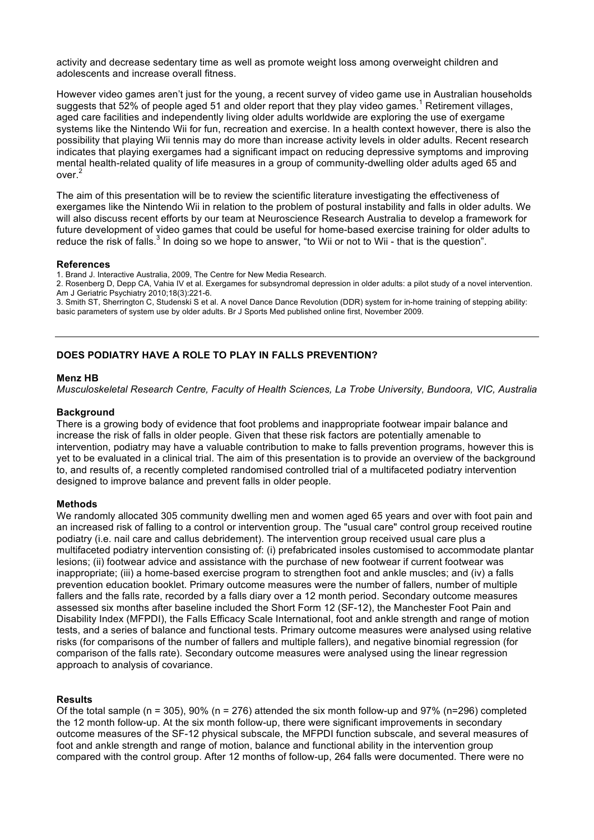activity and decrease sedentary time as well as promote weight loss among overweight children and adolescents and increase overall fitness.

However video games aren't just for the young, a recent survey of video game use in Australian households suggests that 52% of people aged 51 and older report that they play video games.<sup>1</sup> Retirement villages, aged care facilities and independently living older adults worldwide are exploring the use of exergame systems like the Nintendo Wii for fun, recreation and exercise. In a health context however, there is also the possibility that playing Wii tennis may do more than increase activity levels in older adults. Recent research indicates that playing exergames had a significant impact on reducing depressive symptoms and improving mental health-related quality of life measures in a group of community-dwelling older adults aged 65 and  $\alpha$ ver $^2$ 

The aim of this presentation will be to review the scientific literature investigating the effectiveness of exergames like the Nintendo Wii in relation to the problem of postural instability and falls in older adults. We will also discuss recent efforts by our team at Neuroscience Research Australia to develop a framework for future development of video games that could be useful for home-based exercise training for older adults to reduce the risk of falls.<sup>3</sup> In doing so we hope to answer, "to Wii or not to Wii - that is the question".

#### **References**

1. Brand J. Interactive Australia, 2009, The Centre for New Media Research.

2. Rosenberg D, Depp CA, Vahia IV et al. Exergames for subsyndromal depression in older adults: a pilot study of a novel intervention. Am J Geriatric Psychiatry 2010;18(3):221-6.

3. Smith ST, Sherrington C, Studenski S et al. A novel Dance Dance Revolution (DDR) system for in-home training of stepping ability: basic parameters of system use by older adults. Br J Sports Med published online first, November 2009.

# **DOES PODIATRY HAVE A ROLE TO PLAY IN FALLS PREVENTION?**

### **Menz HB**

*Musculoskeletal Research Centre, Faculty of Health Sciences, La Trobe University, Bundoora, VIC, Australia*

### **Background**

There is a growing body of evidence that foot problems and inappropriate footwear impair balance and increase the risk of falls in older people. Given that these risk factors are potentially amenable to intervention, podiatry may have a valuable contribution to make to falls prevention programs, however this is yet to be evaluated in a clinical trial. The aim of this presentation is to provide an overview of the background to, and results of, a recently completed randomised controlled trial of a multifaceted podiatry intervention designed to improve balance and prevent falls in older people.

#### **Methods**

We randomly allocated 305 community dwelling men and women aged 65 years and over with foot pain and an increased risk of falling to a control or intervention group. The "usual care" control group received routine podiatry (i.e. nail care and callus debridement). The intervention group received usual care plus a multifaceted podiatry intervention consisting of: (i) prefabricated insoles customised to accommodate plantar lesions; (ii) footwear advice and assistance with the purchase of new footwear if current footwear was inappropriate; (iii) a home-based exercise program to strengthen foot and ankle muscles; and (iv) a falls prevention education booklet. Primary outcome measures were the number of fallers, number of multiple fallers and the falls rate, recorded by a falls diary over a 12 month period. Secondary outcome measures assessed six months after baseline included the Short Form 12 (SF-12), the Manchester Foot Pain and Disability Index (MFPDI), the Falls Efficacy Scale International, foot and ankle strength and range of motion tests, and a series of balance and functional tests. Primary outcome measures were analysed using relative risks (for comparisons of the number of fallers and multiple fallers), and negative binomial regression (for comparison of the falls rate). Secondary outcome measures were analysed using the linear regression approach to analysis of covariance.

#### **Results**

Of the total sample (n = 305), 90% (n = 276) attended the six month follow-up and 97% (n=296) completed the 12 month follow-up. At the six month follow-up, there were significant improvements in secondary outcome measures of the SF-12 physical subscale, the MFPDI function subscale, and several measures of foot and ankle strength and range of motion, balance and functional ability in the intervention group compared with the control group. After 12 months of follow-up, 264 falls were documented. There were no